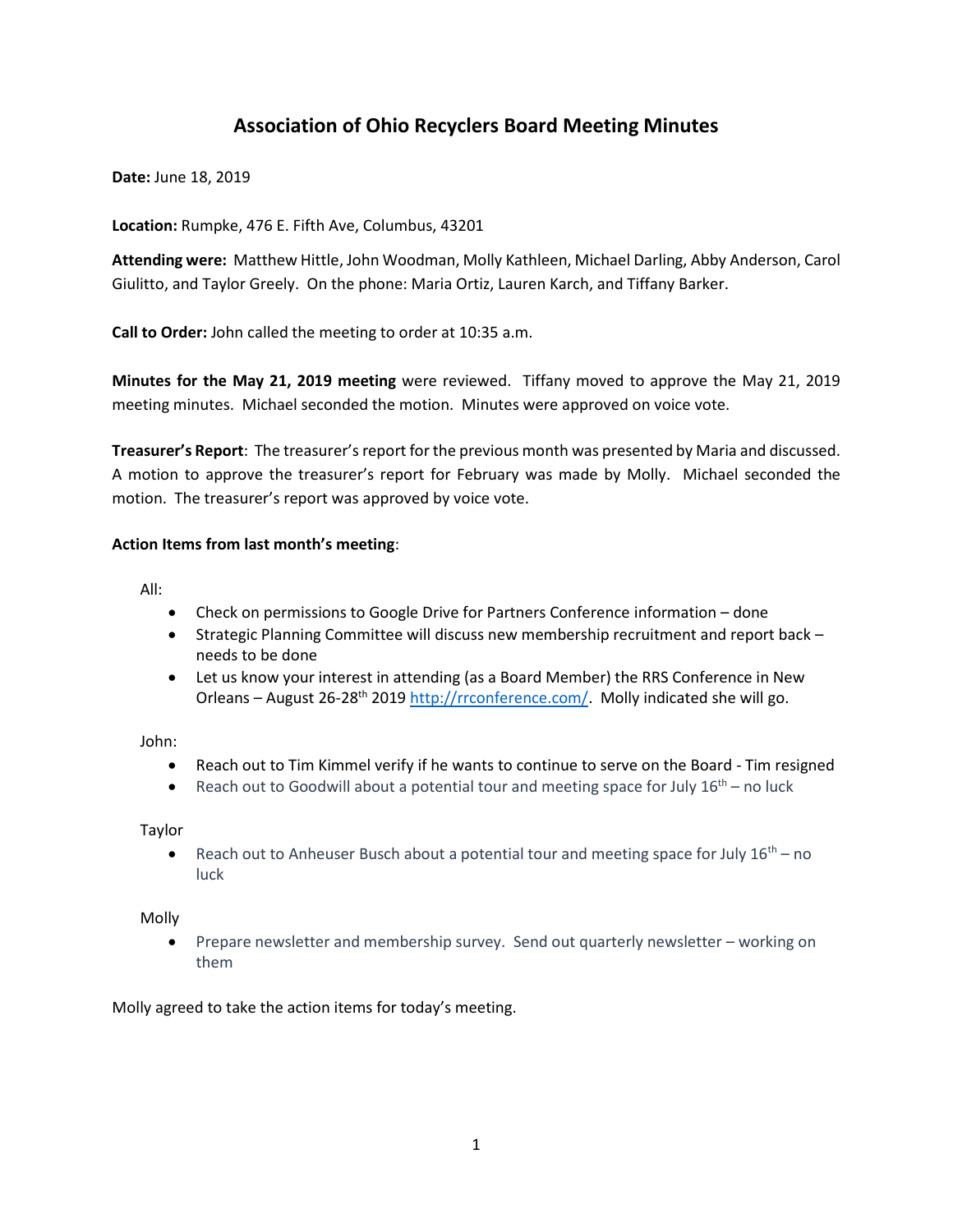# **Association of Ohio Recyclers Board Meeting Minutes**

**Date:** June 18, 2019

**Location:** Rumpke, 476 E. Fifth Ave, Columbus, 43201

**Attending were:** Matthew Hittle, John Woodman, Molly Kathleen, Michael Darling, Abby Anderson, Carol Giulitto, and Taylor Greely. On the phone: Maria Ortiz, Lauren Karch, and Tiffany Barker.

**Call to Order:** John called the meeting to order at 10:35 a.m.

**Minutes for the May 21, 2019 meeting** were reviewed. Tiffany moved to approve the May 21, 2019 meeting minutes. Michael seconded the motion. Minutes were approved on voice vote.

**Treasurer's Report**: The treasurer's report for the previous month was presented by Maria and discussed. A motion to approve the treasurer's report for February was made by Molly. Michael seconded the motion. The treasurer's report was approved by voice vote.

### **Action Items from last month's meeting**:

All:

- Check on permissions to Google Drive for Partners Conference information done
- Strategic Planning Committee will discuss new membership recruitment and report back needs to be done
- Let us know your interest in attending (as a Board Member) the RRS Conference in New Orleans – August 26-28th 2019 [http://rrconference.com/.](https://gcc01.safelinks.protection.outlook.com/?url=http%3A%2F%2Frrconference.com%2F&data=02%7C01%7CMatthew.Hittle%40epa.ohio.gov%7C96d2c382797f45540ba308d6de04843c%7C50f8fcc494d84f0784eb36ed57c7c8a2%7C0%7C1%7C636940508317456089&sdata=blGl6MpF1m6WYkVqyFUP2Vkai4usFdO9iAxTZZTDf0k%3D&reserved=0) Molly indicated she will go.

John:

- Reach out to Tim Kimmel verify if he wants to continue to serve on the Board Tim resigned
- Reach out to Goodwill about a potential tour and meeting space for July  $16^{th}$  no luck

Taylor

• Reach out to Anheuser Busch about a potential tour and meeting space for July  $16^{th}$  – no luck

Molly

• Prepare newsletter and membership survey. Send out quarterly newsletter – working on them

Molly agreed to take the action items for today's meeting.